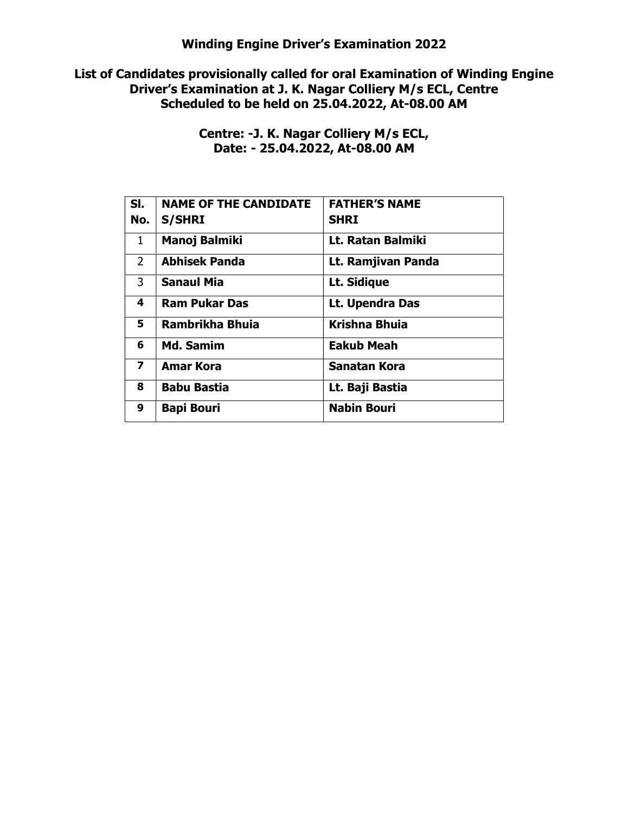List of Candidates provisionally called for oral Examination of Winding Engine Driver's Examination at J. K. Nagar Colliery M/s ECL, Centre Scheduled to be held on 25.04.2022, At-08.00 AM

> Centre: -J. K. Nagar Colliery M/s ECL, Date: - 25.04.2022, At-08.00 AM

| SI.                     | <b>NAME OF THE CANDIDATE</b> | <b>FATHER'S NAME</b> |
|-------------------------|------------------------------|----------------------|
| No.                     | <b>S/SHRI</b>                | <b>SHRI</b>          |
| 1                       | <b>Manoj Balmiki</b>         | Lt. Ratan Balmiki    |
| $\overline{2}$          | <b>Abhisek Panda</b>         | Lt. Ramjivan Panda   |
| 3                       | <b>Sanaul Mia</b>            | Lt. Sidique          |
| 4                       | <b>Ram Pukar Das</b>         | Lt. Upendra Das      |
| 5                       | Rambrikha Bhuia              | <b>Krishna Bhuia</b> |
| 6                       | <b>Md. Samim</b>             | <b>Eakub Meah</b>    |
| $\overline{\mathbf{z}}$ | <b>Amar Kora</b>             | Sanatan Kora         |
| 8                       | <b>Babu Bastia</b>           | Lt. Baji Bastia      |
| 9                       | <b>Bapi Bouri</b>            | <b>Nabin Bouri</b>   |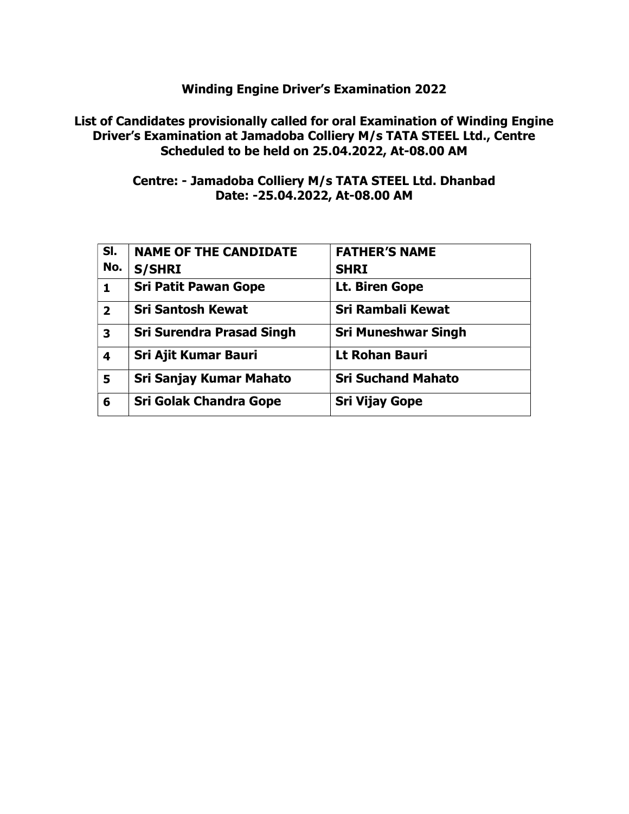## List of Candidates provisionally called for oral Examination of Winding Engine Driver's Examination at Jamadoba Colliery M/s TATA STEEL Ltd., Centre Scheduled to be held on 25.04.2022, At-08.00 AM

## Centre: - Jamadoba Colliery M/s TATA STEEL Ltd. Dhanbad Date: -25.04.2022, At-08.00 AM

| SI.                     | <b>NAME OF THE CANDIDATE</b>     | <b>FATHER'S NAME</b>       |
|-------------------------|----------------------------------|----------------------------|
| No.                     | <b>S/SHRI</b>                    | <b>SHRI</b>                |
| 1                       | <b>Sri Patit Pawan Gope</b>      | Lt. Biren Gope             |
| $\overline{\mathbf{2}}$ | <b>Sri Santosh Kewat</b>         | <b>Sri Rambali Kewat</b>   |
| 3                       | <b>Sri Surendra Prasad Singh</b> | <b>Sri Muneshwar Singh</b> |
| 4                       | <b>Sri Ajit Kumar Bauri</b>      | <b>Lt Rohan Bauri</b>      |
| 5                       | Sri Sanjay Kumar Mahato          | <b>Sri Suchand Mahato</b>  |
| 6                       | <b>Sri Golak Chandra Gope</b>    | <b>Sri Vijay Gope</b>      |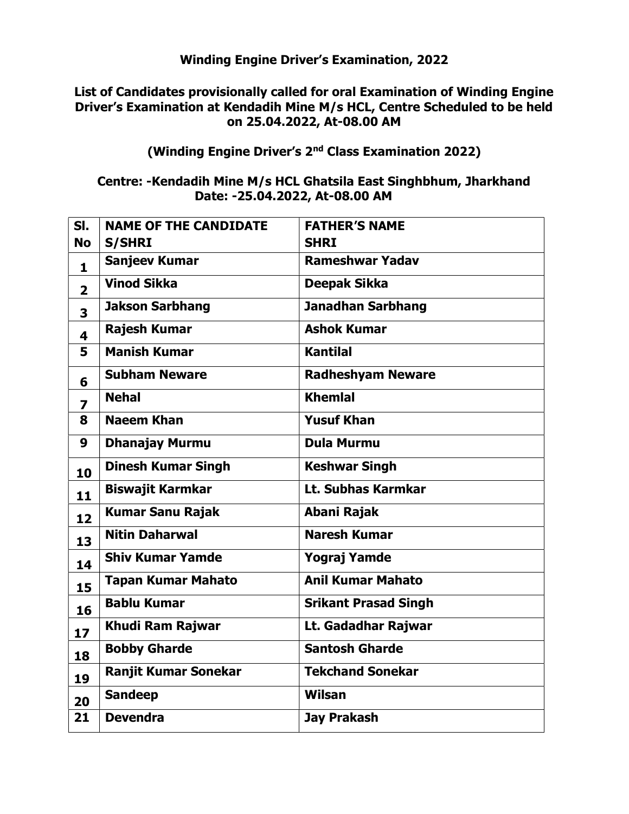## List of Candidates provisionally called for oral Examination of Winding Engine Driver's Examination at Kendadih Mine M/s HCL, Centre Scheduled to be held on 25.04.2022, At-08.00 AM

## (Winding Engine Driver's 2nd Class Examination 2022)

## Centre: -Kendadih Mine M/s HCL Ghatsila East Singhbhum, Jharkhand Date: -25.04.2022, At-08.00 AM

| SI.                     | <b>NAME OF THE CANDIDATE</b> | <b>FATHER'S NAME</b>        |
|-------------------------|------------------------------|-----------------------------|
| <b>No</b>               | <b>S/SHRI</b>                | <b>SHRI</b>                 |
| $\mathbf{1}$            | <b>Sanjeev Kumar</b>         | <b>Rameshwar Yadav</b>      |
| $\overline{2}$          | <b>Vinod Sikka</b>           | <b>Deepak Sikka</b>         |
| 3                       | <b>Jakson Sarbhang</b>       | <b>Janadhan Sarbhang</b>    |
| 4                       | <b>Rajesh Kumar</b>          | <b>Ashok Kumar</b>          |
| 5                       | <b>Manish Kumar</b>          | <b>Kantilal</b>             |
| 6                       | <b>Subham Neware</b>         | <b>Radheshyam Neware</b>    |
| $\overline{\mathbf{z}}$ | <b>Nehal</b>                 | <b>Khemlal</b>              |
| 8                       | <b>Naeem Khan</b>            | <b>Yusuf Khan</b>           |
| 9                       | <b>Dhanajay Murmu</b>        | <b>Dula Murmu</b>           |
| 10                      | <b>Dinesh Kumar Singh</b>    | <b>Keshwar Singh</b>        |
| 11                      | <b>Biswajit Karmkar</b>      | Lt. Subhas Karmkar          |
| 12                      | <b>Kumar Sanu Rajak</b>      | Abani Rajak                 |
| 13                      | <b>Nitin Daharwal</b>        | <b>Naresh Kumar</b>         |
| 14                      | <b>Shiv Kumar Yamde</b>      | <b>Yograj Yamde</b>         |
| 15                      | <b>Tapan Kumar Mahato</b>    | <b>Anil Kumar Mahato</b>    |
| 16                      | <b>Bablu Kumar</b>           | <b>Srikant Prasad Singh</b> |
| 17                      | Khudi Ram Rajwar             | Lt. Gadadhar Rajwar         |
| 18                      | <b>Bobby Gharde</b>          | <b>Santosh Gharde</b>       |
| 19                      | <b>Ranjit Kumar Sonekar</b>  | <b>Tekchand Sonekar</b>     |
| 20                      | <b>Sandeep</b>               | <b>Wilsan</b>               |
| 21                      | <b>Devendra</b>              | <b>Jay Prakash</b>          |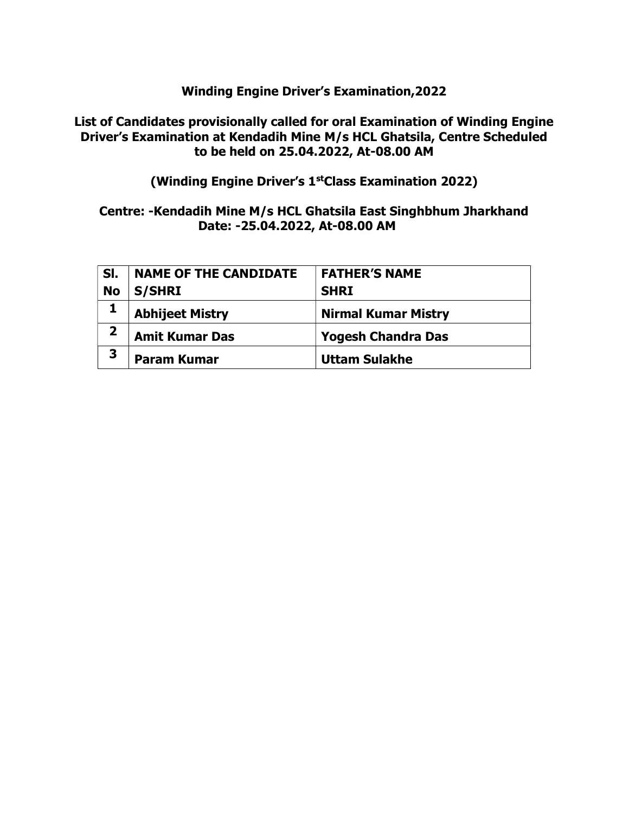## List of Candidates provisionally called for oral Examination of Winding Engine Driver's Examination at Kendadih Mine M/s HCL Ghatsila, Centre Scheduled to be held on 25.04.2022, At-08.00 AM

(Winding Engine Driver's 1stClass Examination 2022)

## Centre: -Kendadih Mine M/s HCL Ghatsila East Singhbhum Jharkhand Date: -25.04.2022, At-08.00 AM

| SI.                     | <b>NAME OF THE CANDIDATE</b> | <b>FATHER'S NAME</b>       |
|-------------------------|------------------------------|----------------------------|
| <b>No</b>               | <b>S/SHRI</b>                | <b>SHRI</b>                |
|                         | <b>Abhijeet Mistry</b>       | <b>Nirmal Kumar Mistry</b> |
| $\overline{\mathbf{2}}$ | <b>Amit Kumar Das</b>        | <b>Yogesh Chandra Das</b>  |
| 3                       | <b>Param Kumar</b>           | <b>Uttam Sulakhe</b>       |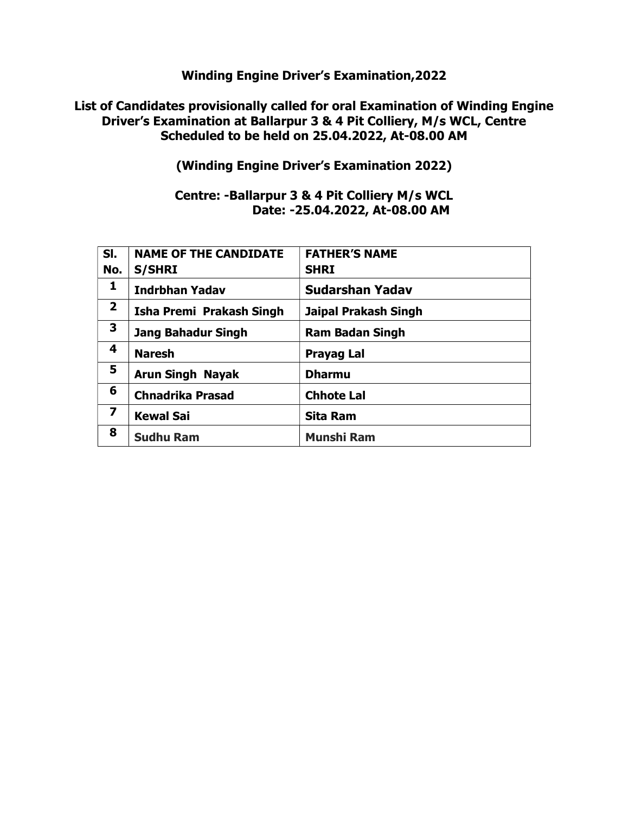#### List of Candidates provisionally called for oral Examination of Winding Engine Driver's Examination at Ballarpur 3 & 4 Pit Colliery, M/s WCL, Centre Scheduled to be held on 25.04.2022, At-08.00 AM

(Winding Engine Driver's Examination 2022)

## Centre: -Ballarpur 3 & 4 Pit Colliery M/s WCL Date: -25.04.2022, At-08.00 AM

| SI.                     | <b>NAME OF THE CANDIDATE</b> | <b>FATHER'S NAME</b>   |
|-------------------------|------------------------------|------------------------|
| No.                     | <b>S/SHRI</b>                | <b>SHRI</b>            |
| 1                       | <b>Indrbhan Yadav</b>        | <b>Sudarshan Yadav</b> |
| $\mathbf{2}$            | Isha Premi Prakash Singh     | Jaipal Prakash Singh   |
| 3                       | <b>Jang Bahadur Singh</b>    | <b>Ram Badan Singh</b> |
| 4                       | <b>Naresh</b>                | Prayag Lal             |
| 5                       | <b>Arun Singh Nayak</b>      | <b>Dharmu</b>          |
| 6                       | <b>Chnadrika Prasad</b>      | <b>Chhote Lal</b>      |
| $\overline{\mathbf{z}}$ | <b>Kewal Sai</b>             | <b>Sita Ram</b>        |
| 8                       | <b>Sudhu Ram</b>             | <b>Munshi Ram</b>      |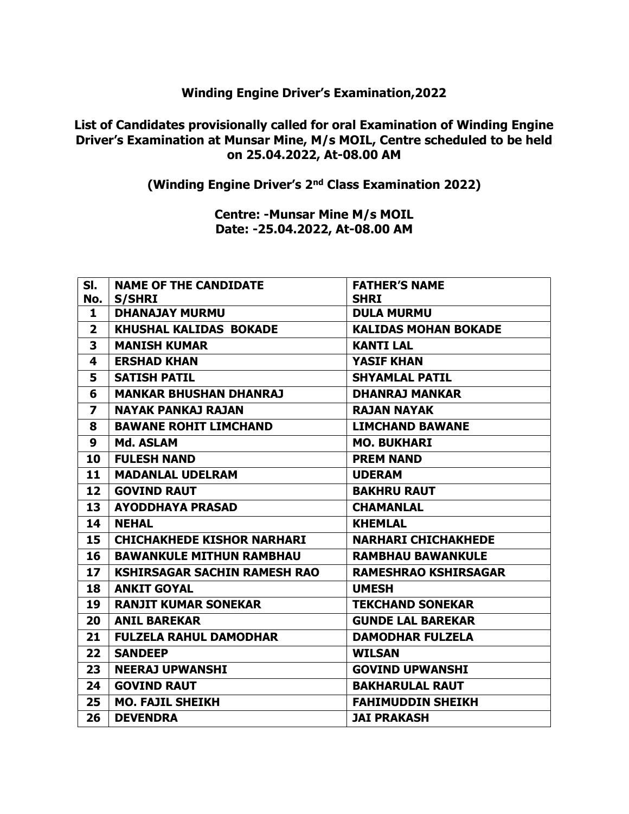## List of Candidates provisionally called for oral Examination of Winding Engine Driver's Examination at Munsar Mine, M/s MOIL, Centre scheduled to be held on 25.04.2022, At-08.00 AM

(Winding Engine Driver's 2nd Class Examination 2022)

Centre: -Munsar Mine M/s MOIL Date: -25.04.2022, At-08.00 AM

| SI.                     | <b>NAME OF THE CANDIDATE</b>        | <b>FATHER'S NAME</b>        |
|-------------------------|-------------------------------------|-----------------------------|
| No.                     | <b>S/SHRI</b>                       | <b>SHRI</b>                 |
| 1                       | <b>DHANAJAY MURMU</b>               | <b>DULA MURMU</b>           |
| $\overline{2}$          | <b>KHUSHAL KALIDAS BOKADE</b>       | <b>KALIDAS MOHAN BOKADE</b> |
| 3                       | <b>MANISH KUMAR</b>                 | <b>KANTI LAL</b>            |
| 4                       | <b>ERSHAD KHAN</b>                  | <b>YASIF KHAN</b>           |
| 5                       | <b>SATISH PATIL</b>                 | <b>SHYAMLAL PATIL</b>       |
| 6                       | <b>MANKAR BHUSHAN DHANRAJ</b>       | <b>DHANRAJ MANKAR</b>       |
| $\overline{\mathbf{z}}$ | <b>NAYAK PANKAJ RAJAN</b>           | RAJAN NAYAK                 |
| 8                       | <b>BAWANE ROHIT LIMCHAND</b>        | <b>LIMCHAND BAWANE</b>      |
| 9                       | Md. ASLAM                           | <b>MO. BUKHARI</b>          |
| 10                      | <b>FULESH NAND</b>                  | <b>PREM NAND</b>            |
| 11                      | <b>MADANLAL UDELRAM</b>             | <b>UDERAM</b>               |
| 12                      | <b>GOVIND RAUT</b>                  | <b>BAKHRU RAUT</b>          |
| 13                      | <b>AYODDHAYA PRASAD</b>             | <b>CHAMANLAL</b>            |
| 14                      | <b>NEHAL</b>                        | <b>KHEMLAL</b>              |
| 15                      | <b>CHICHAKHEDE KISHOR NARHARI</b>   | <b>NARHARI CHICHAKHEDE</b>  |
| 16                      | <b>BAWANKULE MITHUN RAMBHAU</b>     | <b>RAMBHAU BAWANKULE</b>    |
| 17                      | <b>KSHIRSAGAR SACHIN RAMESH RAO</b> | <b>RAMESHRAO KSHIRSAGAR</b> |
| 18                      | <b>ANKIT GOYAL</b>                  | <b>UMESH</b>                |
| 19                      | <b>RANJIT KUMAR SONEKAR</b>         | <b>TEKCHAND SONEKAR</b>     |
| 20                      | <b>ANIL BAREKAR</b>                 | <b>GUNDE LAL BAREKAR</b>    |
| 21                      | <b>FULZELA RAHUL DAMODHAR</b>       | <b>DAMODHAR FULZELA</b>     |
| 22                      | <b>SANDEEP</b>                      | <b>WILSAN</b>               |
| 23                      | <b>NEERAJ UPWANSHI</b>              | <b>GOVIND UPWANSHI</b>      |
| 24                      | <b>GOVIND RAUT</b>                  | <b>BAKHARULAL RAUT</b>      |
| 25                      | <b>MO. FAJIL SHEIKH</b>             | <b>FAHIMUDDIN SHEIKH</b>    |
| 26                      | <b>DEVENDRA</b>                     | <b>JAI PRAKASH</b>          |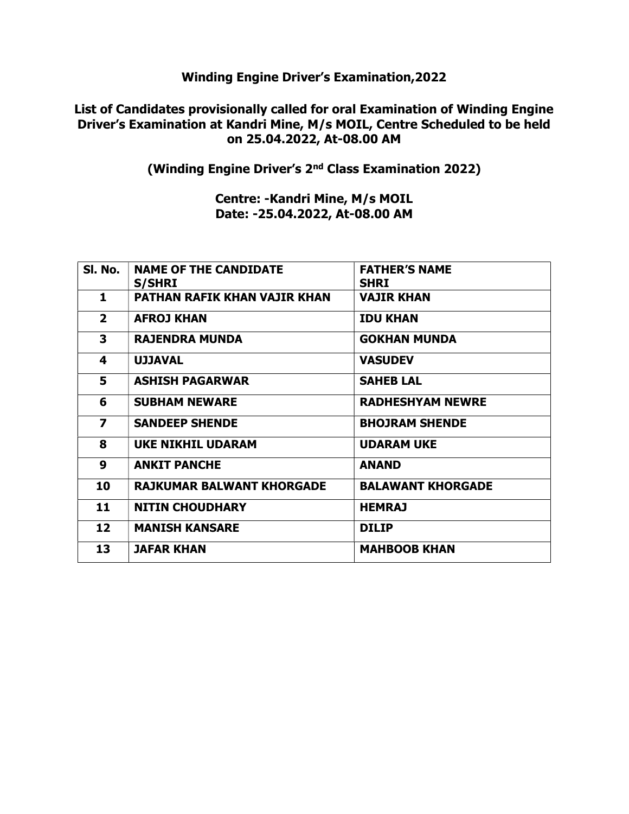#### List of Candidates provisionally called for oral Examination of Winding Engine Driver's Examination at Kandri Mine, M/s MOIL, Centre Scheduled to be held on 25.04.2022, At-08.00 AM

(Winding Engine Driver's 2nd Class Examination 2022)

Centre: -Kandri Mine, M/s MOIL Date: -25.04.2022, At-08.00 AM

| SI. No.                 | <b>NAME OF THE CANDIDATE</b><br><b>S/SHRI</b> | <b>FATHER'S NAME</b><br><b>SHRI</b> |
|-------------------------|-----------------------------------------------|-------------------------------------|
| 1                       | <b>PATHAN RAFIK KHAN VAJIR KHAN</b>           | <b>VAJIR KHAN</b>                   |
| $\overline{2}$          | <b>AFROJ KHAN</b>                             | <b>IDU KHAN</b>                     |
| 3                       | <b>RAJENDRA MUNDA</b>                         | <b>GOKHAN MUNDA</b>                 |
| 4                       | <b>UJJAVAL</b>                                | <b>VASUDEV</b>                      |
| 5                       | <b>ASHISH PAGARWAR</b>                        | <b>SAHEB LAL</b>                    |
| 6                       | <b>SUBHAM NEWARE</b>                          | <b>RADHESHYAM NEWRE</b>             |
| $\overline{\mathbf{z}}$ | <b>SANDEEP SHENDE</b>                         | <b>BHOJRAM SHENDE</b>               |
| 8                       | <b>UKE NIKHIL UDARAM</b>                      | <b>UDARAM UKE</b>                   |
| 9                       | <b>ANKIT PANCHE</b>                           | <b>ANAND</b>                        |
| 10                      | <b>RAJKUMAR BALWANT KHORGADE</b>              | <b>BALAWANT KHORGADE</b>            |
| 11                      | <b>NITIN CHOUDHARY</b>                        | <b>HEMRAJ</b>                       |
| 12                      | <b>MANISH KANSARE</b>                         | <b>DILIP</b>                        |
| 13                      | <b>JAFAR KHAN</b>                             | <b>MAHBOOB KHAN</b>                 |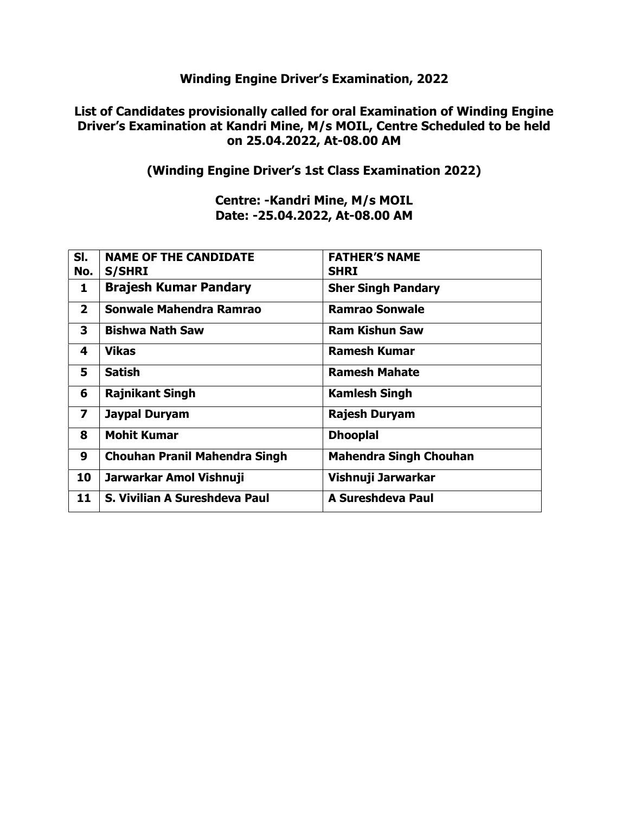## List of Candidates provisionally called for oral Examination of Winding Engine Driver's Examination at Kandri Mine, M/s MOIL, Centre Scheduled to be held on 25.04.2022, At-08.00 AM

## (Winding Engine Driver's 1st Class Examination 2022)

### Centre: -Kandri Mine, M/s MOIL Date: -25.04.2022, At-08.00 AM

| SI.<br>No.              | <b>NAME OF THE CANDIDATE</b><br><b>S/SHRI</b> | <b>FATHER'S NAME</b><br><b>SHRI</b> |
|-------------------------|-----------------------------------------------|-------------------------------------|
|                         |                                               |                                     |
| 1                       | <b>Brajesh Kumar Pandary</b>                  | <b>Sher Singh Pandary</b>           |
| $\overline{2}$          | Sonwale Mahendra Ramrao                       | <b>Ramrao Sonwale</b>               |
| 3                       | <b>Bishwa Nath Saw</b>                        | <b>Ram Kishun Saw</b>               |
| 4                       | <b>Vikas</b>                                  | <b>Ramesh Kumar</b>                 |
| 5                       | <b>Satish</b>                                 | <b>Ramesh Mahate</b>                |
| 6                       | <b>Rajnikant Singh</b>                        | <b>Kamlesh Singh</b>                |
| $\overline{\mathbf{z}}$ | <b>Jaypal Duryam</b>                          | <b>Rajesh Duryam</b>                |
| 8                       | <b>Mohit Kumar</b>                            | <b>Dhooplal</b>                     |
| 9                       | <b>Chouhan Pranil Mahendra Singh</b>          | <b>Mahendra Singh Chouhan</b>       |
| 10                      | Jarwarkar Amol Vishnuji                       | Vishnuji Jarwarkar                  |
| 11                      | S. Vivilian A Sureshdeva Paul                 | A Sureshdeva Paul                   |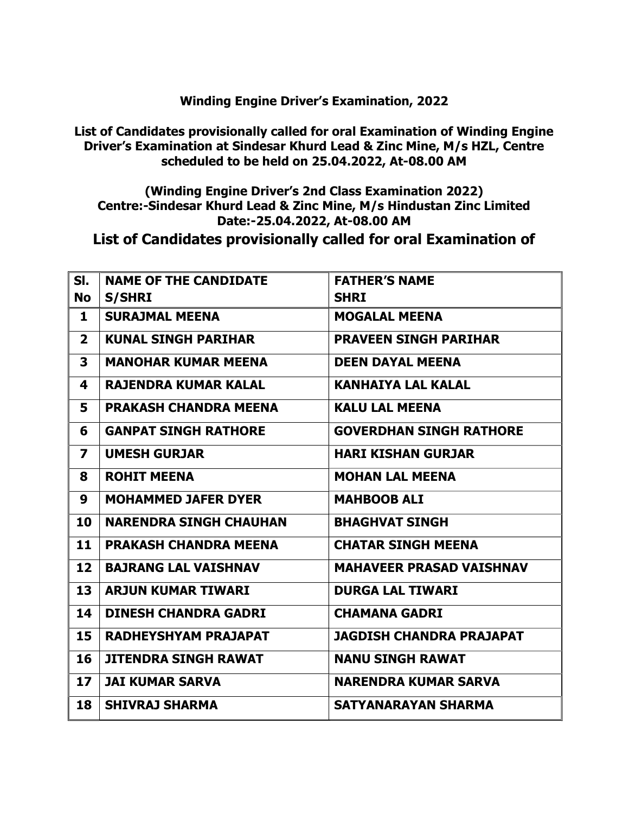List of Candidates provisionally called for oral Examination of Winding Engine Driver's Examination at Sindesar Khurd Lead & Zinc Mine, M/s HZL, Centre scheduled to be held on 25.04.2022, At-08.00 AM

(Winding Engine Driver's 2nd Class Examination 2022) Centre:-Sindesar Khurd Lead & Zinc Mine, M/s Hindustan Zinc Limited Date:-25.04.2022, At-08.00 AM

List of Candidates provisionally called for oral Examination of

| SI.                     | <b>NAME OF THE CANDIDATE</b>  | <b>FATHER'S NAME</b>            |
|-------------------------|-------------------------------|---------------------------------|
| <b>No</b>               | <b>S/SHRI</b>                 | <b>SHRI</b>                     |
| 1                       | <b>SURAJMAL MEENA</b>         | <b>MOGALAL MEENA</b>            |
| $\overline{2}$          | <b>KUNAL SINGH PARIHAR</b>    | <b>PRAVEEN SINGH PARIHAR</b>    |
| $\overline{\mathbf{3}}$ | <b>MANOHAR KUMAR MEENA</b>    | <b>DEEN DAYAL MEENA</b>         |
| 4                       | <b>RAJENDRA KUMAR KALAL</b>   | <b>KANHAIYA LAL KALAL</b>       |
| 5                       | <b>PRAKASH CHANDRA MEENA</b>  | <b>KALU LAL MEENA</b>           |
| 6                       | <b>GANPAT SINGH RATHORE</b>   | <b>GOVERDHAN SINGH RATHORE</b>  |
| $\overline{\mathbf{z}}$ | <b>UMESH GURJAR</b>           | <b>HARI KISHAN GURJAR</b>       |
| 8                       | <b>ROHIT MEENA</b>            | <b>MOHAN LAL MEENA</b>          |
| 9                       | <b>MOHAMMED JAFER DYER</b>    | <b>MAHBOOB ALI</b>              |
| 10                      | <b>NARENDRA SINGH CHAUHAN</b> | <b>BHAGHVAT SINGH</b>           |
| 11                      | <b>PRAKASH CHANDRA MEENA</b>  | <b>CHATAR SINGH MEENA</b>       |
| 12                      | <b>BAJRANG LAL VAISHNAV</b>   | <b>MAHAVEER PRASAD VAISHNAV</b> |
| 13                      | <b>ARJUN KUMAR TIWARI</b>     | <b>DURGA LAL TIWARI</b>         |
| 14                      | <b>DINESH CHANDRA GADRI</b>   | <b>CHAMANA GADRI</b>            |
| 15                      | RADHEYSHYAM PRAJAPAT          | <b>JAGDISH CHANDRA PRAJAPAT</b> |
| 16                      | <b>JITENDRA SINGH RAWAT</b>   | <b>NANU SINGH RAWAT</b>         |
| 17 <sub>2</sub>         | <b>JAI KUMAR SARVA</b>        | <b>NARENDRA KUMAR SARVA</b>     |
| 18                      | <b>SHIVRAJ SHARMA</b>         | <b>SATYANARAYAN SHARMA</b>      |